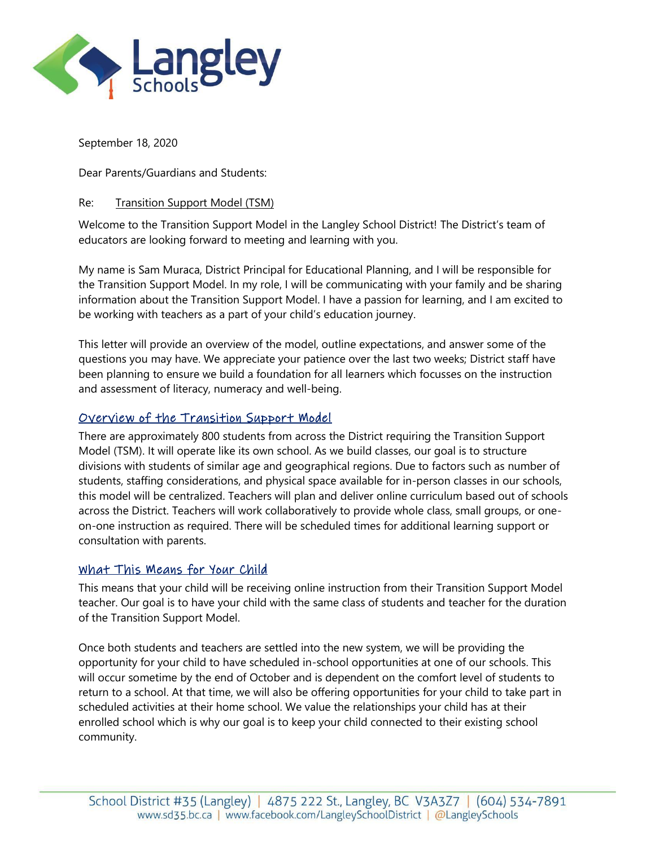

September 18, 2020

Dear Parents/Guardians and Students:

#### Re: Transition Support Model (TSM)

Welcome to the Transition Support Model in the Langley School District! The District's team of educators are looking forward to meeting and learning with you.

My name is Sam Muraca, District Principal for Educational Planning, and I will be responsible for the Transition Support Model. In my role, I will be communicating with your family and be sharing information about the Transition Support Model. I have a passion for learning, and I am excited to be working with teachers as a part of your child's education journey.

This letter will provide an overview of the model, outline expectations, and answer some of the questions you may have. We appreciate your patience over the last two weeks; District staff have been planning to ensure we build a foundation for all learners which focusses on the instruction and assessment of literacy, numeracy and well-being.

### Overview of the Transition Support Model

There are approximately 800 students from across the District requiring the Transition Support Model (TSM). It will operate like its own school. As we build classes, our goal is to structure divisions with students of similar age and geographical regions. Due to factors such as number of students, staffing considerations, and physical space available for in-person classes in our schools, this model will be centralized. Teachers will plan and deliver online curriculum based out of schools across the District. Teachers will work collaboratively to provide whole class, small groups, or oneon-one instruction as required. There will be scheduled times for additional learning support or consultation with parents.

### What This Means for Your Child

This means that your child will be receiving online instruction from their Transition Support Model teacher. Our goal is to have your child with the same class of students and teacher for the duration of the Transition Support Model.

Once both students and teachers are settled into the new system, we will be providing the opportunity for your child to have scheduled in-school opportunities at one of our schools. This will occur sometime by the end of October and is dependent on the comfort level of students to return to a school. At that time, we will also be offering opportunities for your child to take part in scheduled activities at their home school. We value the relationships your child has at their enrolled school which is why our goal is to keep your child connected to their existing school community.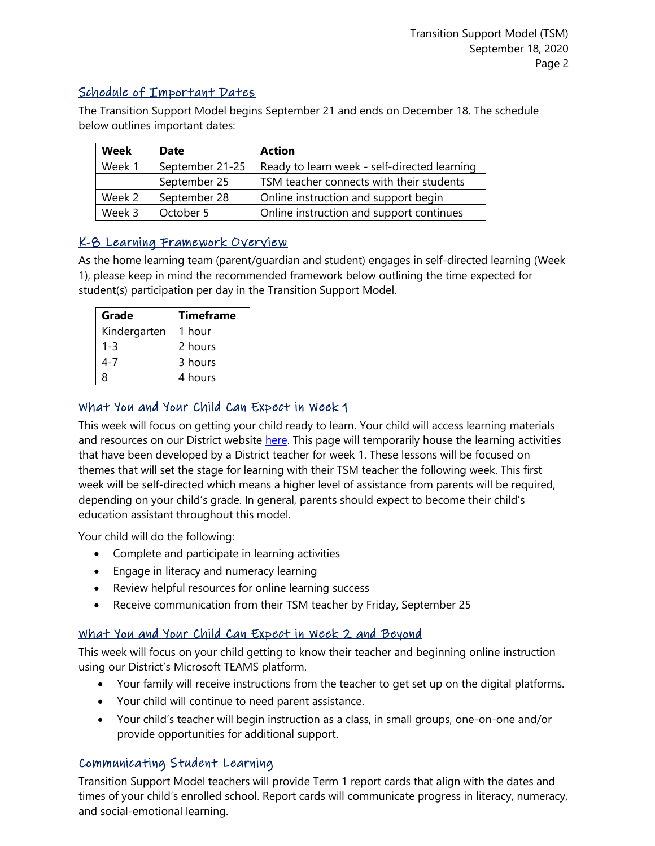## Schedule of Important Dates

The Transition Support Model begins September 21 and ends on December 18. The schedule below outlines important dates:

| Week   | <b>Date</b>     | <b>Action</b>                                |
|--------|-----------------|----------------------------------------------|
| Week 1 | September 21-25 | Ready to learn week - self-directed learning |
|        | September 25    | TSM teacher connects with their students     |
| Week 2 | September 28    | Online instruction and support begin         |
| Week 3 | October 5       | Online instruction and support continues     |

# K-8 Learning Framework Overview

As the home learning team (parent/guardian and student) engages in self-directed learning (Week 1), please keep in mind the recommended framework below outlining the time expected for student(s) participation per day in the Transition Support Model.

| Grade        | <b>Timeframe</b> |
|--------------|------------------|
| Kindergarten | 1 hour           |
| 1-3          | 2 hours          |
| 4-7          | 3 hours          |
| R            | 4 hours          |

## What You and Your Child Can Expect in Week 1

This week will focus on getting your child ready to learn. Your child will access learning materials and resources on our District website [here.](https://www.sd35.bc.ca/schools/transition-support-model-2020/week-1/) This page will temporarily house the learning activities that have been developed by a District teacher for week 1. These lessons will be focused on themes that will set the stage for learning with their TSM teacher the following week. This first week will be self-directed which means a higher level of assistance from parents will be required, depending on your child's grade. In general, parents should expect to become their child's education assistant throughout this model.

Your child will do the following:

- Complete and participate in learning activities
- Engage in literacy and numeracy learning
- Review helpful resources for online learning success
- Receive communication from their TSM teacher by Friday, September 25

## What You and Your Child Can Expect in Week 2 and Beyond

This week will focus on your child getting to know their teacher and beginning online instruction using our District's Microsoft TEAMS platform.

- Your family will receive instructions from the teacher to get set up on the digital platforms.
- Your child will continue to need parent assistance.
- Your child's teacher will begin instruction as a class, in small groups, one-on-one and/or provide opportunities for additional support.

# Communicating Student Learning

Transition Support Model teachers will provide Term 1 report cards that align with the dates and times of your child's enrolled school. Report cards will communicate progress in literacy, numeracy, and social-emotional learning.